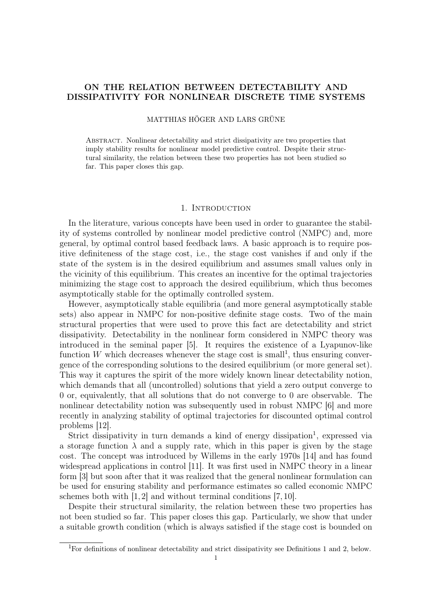# ON THE RELATION BETWEEN DETECTABILITY AND DISSIPATIVITY FOR NONLINEAR DISCRETE TIME SYSTEMS

# MATTHIAS HÖGER AND LARS GRÜNE

Abstract. Nonlinear detectability and strict dissipativity are two properties that imply stability results for nonlinear model predictive control. Despite their structural similarity, the relation between these two properties has not been studied so far. This paper closes this gap.

### 1. INTRODUCTION

In the literature, various concepts have been used in order to guarantee the stability of systems controlled by nonlinear model predictive control (NMPC) and, more general, by optimal control based feedback laws. A basic approach is to require positive definiteness of the stage cost, i.e., the stage cost vanishes if and only if the state of the system is in the desired equilibrium and assumes small values only in the vicinity of this equilibrium. This creates an incentive for the optimal trajectories minimizing the stage cost to approach the desired equilibrium, which thus becomes asymptotically stable for the optimally controlled system.

However, asymptotically stable equilibria (and more general asymptotically stable sets) also appear in NMPC for non-positive definite stage costs. Two of the main structural properties that were used to prove this fact are detectability and strict dissipativity. Detectability in the nonlinear form considered in NMPC theory was introduced in the seminal paper [5]. It requires the existence of a Lyapunov-like function W which decreases whenever the stage cost is small<sup>1</sup>, thus ensuring convergence of the corresponding solutions to the desired equilibrium (or more general set). This way it captures the spirit of the more widely known linear detectability notion, which demands that all (uncontrolled) solutions that yield a zero output converge to 0 or, equivalently, that all solutions that do not converge to 0 are observable. The nonlinear detectability notion was subsequently used in robust NMPC [6] and more recently in analyzing stability of optimal trajectories for discounted optimal control problems [12].

Strict dissipativity in turn demands a kind of energy dissipation<sup>1</sup>, expressed via a storage function  $\lambda$  and a supply rate, which in this paper is given by the stage cost. The concept was introduced by Willems in the early 1970s [14] and has found widespread applications in control [11]. It was first used in NMPC theory in a linear form [3] but soon after that it was realized that the general nonlinear formulation can be used for ensuring stability and performance estimates so called economic NMPC schemes both with [1, 2] and without terminal conditions [7, 10].

Despite their structural similarity, the relation between these two properties has not been studied so far. This paper closes this gap. Particularly, we show that under a suitable growth condition (which is always satisfied if the stage cost is bounded on

<sup>1</sup>For definitions of nonlinear detectability and strict dissipativity see Definitions 1 and 2, below.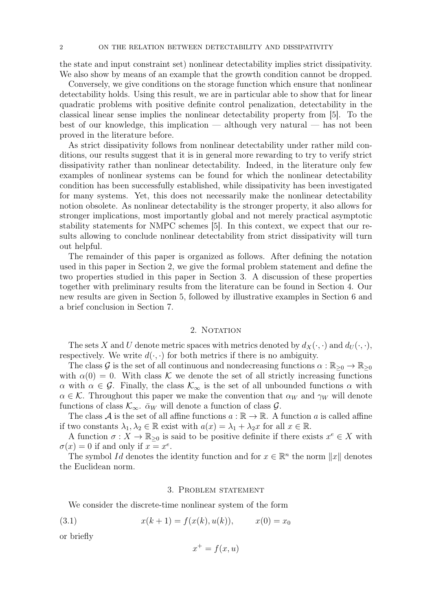the state and input constraint set) nonlinear detectability implies strict dissipativity. We also show by means of an example that the growth condition cannot be dropped.

Conversely, we give conditions on the storage function which ensure that nonlinear detectability holds. Using this result, we are in particular able to show that for linear quadratic problems with positive definite control penalization, detectability in the classical linear sense implies the nonlinear detectability property from [5]. To the best of our knowledge, this implication — although very natural — has not been proved in the literature before.

As strict dissipativity follows from nonlinear detectability under rather mild conditions, our results suggest that it is in general more rewarding to try to verify strict dissipativity rather than nonlinear detectability. Indeed, in the literature only few examples of nonlinear systems can be found for which the nonlinear detectability condition has been successfully established, while dissipativity has been investigated for many systems. Yet, this does not necessarily make the nonlinear detectability notion obsolete. As nonlinear detectability is the stronger property, it also allows for stronger implications, most importantly global and not merely practical asymptotic stability statements for NMPC schemes [5]. In this context, we expect that our results allowing to conclude nonlinear detectability from strict dissipativity will turn out helpful.

The remainder of this paper is organized as follows. After defining the notation used in this paper in Section 2, we give the formal problem statement and define the two properties studied in this paper in Section 3. A discussion of these properties together with preliminary results from the literature can be found in Section 4. Our new results are given in Section 5, followed by illustrative examples in Section 6 and a brief conclusion in Section 7.

# 2. NOTATION

The sets X and U denote metric spaces with metrics denoted by  $d_X(\cdot, \cdot)$  and  $d_U(\cdot, \cdot)$ , respectively. We write  $d(\cdot, \cdot)$  for both metrics if there is no ambiguity.

The class G is the set of all continuous and nondecreasing functions  $\alpha : \mathbb{R}_{\geq 0} \to \mathbb{R}_{\geq 0}$ with  $\alpha(0) = 0$ . With class K we denote the set of all strictly increasing functions α with α ∈ G. Finally, the class  $\mathcal{K}_{\infty}$  is the set of all unbounded functions α with  $\alpha \in \mathcal{K}$ . Throughout this paper we make the convention that  $\alpha_W$  and  $\gamma_W$  will denote functions of class  $\mathcal{K}_{\infty}$ .  $\bar{\alpha}_W$  will denote a function of class  $\mathcal{G}$ .

The class A is the set of all affine functions  $a : \mathbb{R} \to \mathbb{R}$ . A function a is called affine if two constants  $\lambda_1, \lambda_2 \in \mathbb{R}$  exist with  $a(x) = \lambda_1 + \lambda_2 x$  for all  $x \in \mathbb{R}$ .

A function  $\sigma: X \to \mathbb{R}_{\geq 0}$  is said to be positive definite if there exists  $x^e \in X$  with  $\sigma(x) = 0$  if and only if  $x = x^e$ .

The symbol Id denotes the identity function and for  $x \in \mathbb{R}^n$  the norm  $||x||$  denotes the Euclidean norm.

## 3. Problem statement

We consider the discrete-time nonlinear system of the form

(3.1) 
$$
x(k+1) = f(x(k), u(k)), \qquad x(0) = x_0
$$

or briefly

$$
x^+ = f(x, u)
$$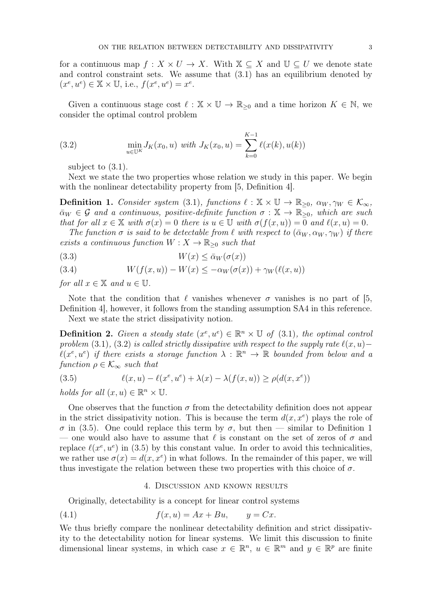for a continuous map  $f: X \times U \to X$ . With  $X \subseteq X$  and  $U \subseteq U$  we denote state and control constraint sets. We assume that (3.1) has an equilibrium denoted by  $(x^e, u^e) \in \mathbb{X} \times \mathbb{U}$ , i.e.,  $f(x^e, u^e) = x^e$ .

Given a continuous stage cost  $\ell : \mathbb{X} \times \mathbb{U} \to \mathbb{R}_{\geq 0}$  and a time horizon  $K \in \mathbb{N}$ , we consider the optimal control problem

(3.2) 
$$
\min_{u \in \mathbb{U}^K} J_K(x_0, u) \text{ with } J_K(x_0, u) = \sum_{k=0}^{K-1} \ell(x(k), u(k))
$$

subject to (3.1).

Next we state the two properties whose relation we study in this paper. We begin with the nonlinear detectability property from [5, Definition 4].

**Definition 1.** Consider system (3.1), functions  $\ell : \mathbb{X} \times \mathbb{U} \to \mathbb{R}_{\geq 0}$ ,  $\alpha_W, \gamma_W \in \mathcal{K}_{\infty}$ ,  $\bar{\alpha}_W \in \mathcal{G}$  and a continuous, positive-definite function  $\sigma : \mathbb{X} \to \mathbb{R}_{\geq 0}$ , which are such that for all  $x \in \mathbb{X}$  with  $\sigma(x) = 0$  there is  $u \in \mathbb{U}$  with  $\sigma(f(x, u)) = 0$  and  $\ell(x, u) = 0$ .

The function  $\sigma$  is said to be detectable from  $\ell$  with respect to  $(\bar{\alpha}_W, \alpha_W, \gamma_W)$  if there exists a continuous function  $W: X \to \mathbb{R}_{\geq 0}$  such that

$$
(3.3) \t\t W(x) \le \bar{\alpha}_W(\sigma(x))
$$

(3.4) 
$$
W(f(x,u)) - W(x) \leq -\alpha_W(\sigma(x)) + \gamma_W(\ell(x,u))
$$

for all  $x \in \mathbb{X}$  and  $u \in \mathbb{U}$ .

Note that the condition that  $\ell$  vanishes whenever  $\sigma$  vanishes is no part of [5, Definition 4], however, it follows from the standing assumption SA4 in this reference.

Next we state the strict dissipativity notion.

**Definition 2.** Given a steady state  $(x^e, u^e) \in \mathbb{R}^n \times \mathbb{U}$  of (3.1), the optimal control problem (3.1), (3.2) is called strictly dissipative with respect to the supply rate  $\ell(x, u)$ −  $\ell(x^e, u^e)$  if there exists a storage function  $\lambda : \mathbb{R}^n \to \mathbb{R}$  bounded from below and a function  $\rho \in \mathcal{K}_{\infty}$  such that

(3.5) 
$$
\ell(x, u) - \ell(x^e, u^e) + \lambda(x) - \lambda(f(x, u)) \ge \rho(d(x, x^e))
$$

holds for all  $(x, u) \in \mathbb{R}^n \times \mathbb{U}$ .

One observes that the function  $\sigma$  from the detectability definition does not appear in the strict dissipativity notion. This is because the term  $d(x, x^e)$  plays the role of σ in (3.5). One could replace this term by σ, but then — similar to Definition 1 — one would also have to assume that  $\ell$  is constant on the set of zeros of  $\sigma$  and replace  $\ell(x^e, u^e)$  in (3.5) by this constant value. In order to avoid this technicalities, we rather use  $\sigma(x) = d(x, x^e)$  in what follows. In the remainder of this paper, we will thus investigate the relation between these two properties with this choice of  $\sigma$ .

### 4. Discussion and known results

Originally, detectability is a concept for linear control systems

$$
(4.1) \t\t f(x,u) = Ax + Bu, \t y = Cx.
$$

We thus briefly compare the nonlinear detectability definition and strict dissipativity to the detectability notion for linear systems. We limit this discussion to finite dimensional linear systems, in which case  $x \in \mathbb{R}^n$ ,  $u \in \mathbb{R}^m$  and  $y \in \mathbb{R}^p$  are finite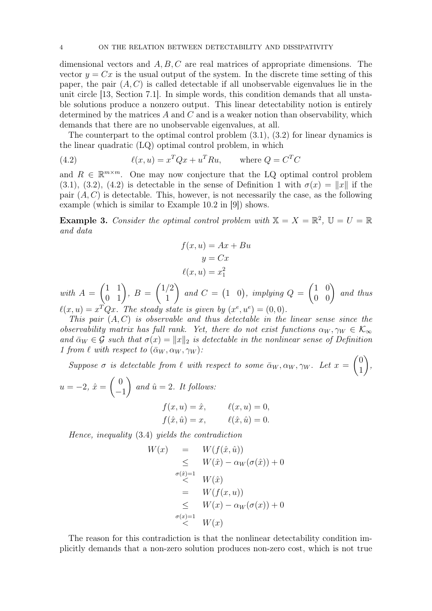dimensional vectors and  $A, B, C$  are real matrices of appropriate dimensions. The vector  $y = Cx$  is the usual output of the system. In the discrete time setting of this paper, the pair  $(A, C)$  is called detectable if all unobservable eigenvalues lie in the unit circle [13, Section 7.1]. In simple words, this condition demands that all unstable solutions produce a nonzero output. This linear detectability notion is entirely determined by the matrices  $A$  and  $C$  and is a weaker notion than observability, which demands that there are no unobservable eigenvalues, at all.

The counterpart to the optimal control problem  $(3.1)$ ,  $(3.2)$  for linear dynamics is the linear quadratic (LQ) optimal control problem, in which

(4.2) 
$$
\ell(x, u) = x^T Q x + u^T R u, \quad \text{where } Q = C^T C
$$

and  $R \in \mathbb{R}^{m \times m}$ . One may now conjecture that the LQ optimal control problem (3.1), (3.2), (4.2) is detectable in the sense of Definition 1 with  $\sigma(x) = ||x||$  if the pair  $(A, C)$  is detectable. This, however, is not necessarily the case, as the following example (which is similar to Example 10.2 in [9]) shows.

**Example 3.** Consider the optimal control problem with  $X = X = \mathbb{R}^2$ ,  $\mathbb{U} = U = \mathbb{R}$ and data

$$
f(x, u) = Ax + Bu
$$

$$
y = Cx
$$

$$
\ell(x, u) = x_1^2
$$

with  $A =$  $\begin{pmatrix} 1 & 1 \\ 0 & 1 \end{pmatrix}$ ,  $B =$  $(1/2)$ 1  $\setminus$ and  $C = (1 \ 0)$ , implying  $Q =$  $\begin{pmatrix} 1 & 0 \\ 0 & 0 \end{pmatrix}$  and thus  $\ell(x, u) = x^T Q x$ . The steady state is given by  $(x^e, u^e) = (0, 0)$ .

This pair  $(A, C)$  is observable and thus detectable in the linear sense since the observability matrix has full rank. Yet, there do not exist functions  $\alpha_W, \gamma_W \in \mathcal{K}_{\infty}$ and  $\bar{\alpha}_W \in \mathcal{G}$  such that  $\sigma(x) = ||x||_2$  is detectable in the nonlinear sense of Definition 1 from  $\ell$  with respect to  $(\bar{\alpha}_W, \alpha_W, \gamma_W)$ :

Suppose  $\sigma$  is detectable from  $\ell$  with respect to some  $\bar{\alpha}_W, \alpha_W, \gamma_W$ . Let  $x =$  $\sqrt{0}$ 1  $\setminus$ ,

$$
u = -2
$$
,  $\hat{x} = \begin{pmatrix} 0 \\ -1 \end{pmatrix}$  and  $\hat{u} = 2$ . It follows:  
 $f(x, u) = \hat{x}$ ,

$$
f(x, u) = \hat{x}, \qquad \ell(x, u) = 0,
$$
  

$$
f(\hat{x}, \hat{u}) = x, \qquad \ell(\hat{x}, \hat{u}) = 0.
$$

Hence, inequality (3.4) yields the contradiction

$$
W(x) = W(f(\hat{x}, \hat{u}))
$$
  
\n
$$
\leq W(\hat{x}) - \alpha_W(\sigma(\hat{x})) + 0
$$
  
\n
$$
\leq W(\hat{x})
$$
  
\n
$$
= W(f(x, u))
$$
  
\n
$$
\leq W(x) - \alpha_W(\sigma(x)) + 0
$$
  
\n
$$
\leq W(x)
$$

The reason for this contradiction is that the nonlinear detectability condition implicitly demands that a non-zero solution produces non-zero cost, which is not true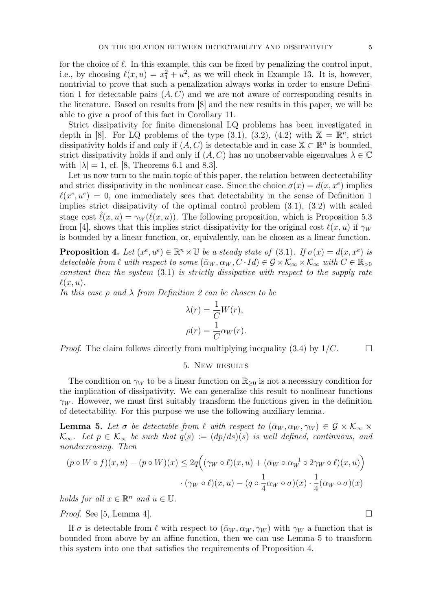for the choice of  $\ell$ . In this example, this can be fixed by penalizing the control input, i.e., by choosing  $\ell(x, u) = x_1^2 + u^2$ , as we will check in Example 13. It is, however, nontrivial to prove that such a penalization always works in order to ensure Definition 1 for detectable pairs  $(A, C)$  and we are not aware of corresponding results in the literature. Based on results from [8] and the new results in this paper, we will be able to give a proof of this fact in Corollary 11.

Strict dissipativity for finite dimensional LQ problems has been investigated in depth in [8]. For LQ problems of the type  $(3.1)$ ,  $(3.2)$ ,  $(4.2)$  with  $\mathbb{X} = \mathbb{R}^n$ , strict dissipativity holds if and only if  $(A, C)$  is detectable and in case  $X \subset \mathbb{R}^n$  is bounded, strict dissipativity holds if and only if  $(A, C)$  has no unobservable eigenvalues  $\lambda \in \mathbb{C}$ with  $|\lambda| = 1$ , cf. [8, Theorems 6.1 and 8.3].

Let us now turn to the main topic of this paper, the relation between dectectability and strict dissipativity in the nonlinear case. Since the choice  $\sigma(x) = d(x, x^e)$  implies  $\ell(x^e, u^e) = 0$ , one immediately sees that detectability in the sense of Definition 1 implies strict dissipativity of the optimal control problem (3.1), (3.2) with scaled stage cost  $\ell(x, u) = \gamma_W (\ell(x, u))$ . The following proposition, which is Proposition 5.3 from [4], shows that this implies strict dissipativity for the original cost  $\ell(x, u)$  if  $\gamma_W$ is bounded by a linear function, or, equivalently, can be chosen as a linear function.

**Proposition 4.** Let  $(x^e, u^e) \in \mathbb{R}^n \times \mathbb{U}$  be a steady state of (3.1). If  $\sigma(x) = d(x, x^e)$  is detectable from  $\ell$  with respect to some  $(\bar{\alpha}_W, \alpha_W, C \cdot Id) \in \mathcal{G} \times \mathcal{K}_{\infty} \times \mathcal{K}_{\infty}$  with  $C \in \mathbb{R}_{>0}$ constant then the system (3.1) is strictly dissipative with respect to the supply rate  $\ell(x, u)$ .

In this case  $\rho$  and  $\lambda$  from Definition 2 can be chosen to be

$$
\lambda(r) = \frac{1}{C}W(r),
$$
  

$$
\rho(r) = \frac{1}{C}\alpha_W(r).
$$

*Proof.* The claim follows directly from multiplying inequality (3.4) by  $1/C$ .

#### 5. New results

The condition on  $\gamma_W$  to be a linear function on  $\mathbb{R}_{\geq 0}$  is not a necessary condition for the implication of dissipativity. We can generalize this result to nonlinear functions  $\gamma_W$ . However, we must first suitably transform the functions given in the definition of detectability. For this purpose we use the following auxiliary lemma.

**Lemma 5.** Let  $\sigma$  be detectable from  $\ell$  with respect to  $(\bar{\alpha}_W, \alpha_W, \gamma_W) \in \mathcal{G} \times \mathcal{K}_{\infty} \times$  $\mathcal{K}_{\infty}$ . Let  $p \in \mathcal{K}_{\infty}$  be such that  $q(s) := (dp/ds)(s)$  is well defined, continuous, and nondecreasing. Then

$$
(p \circ W \circ f)(x, u) - (p \circ W)(x) \le 2q \Big( (\gamma_W \circ \ell)(x, u) + (\bar{\alpha}_W \circ \alpha_W^{-1} \circ 2\gamma_W \circ \ell)(x, u) \Big) \cdot (\gamma_W \circ \ell)(x, u) - (q \circ \frac{1}{4}\alpha_W \circ \sigma)(x) \cdot \frac{1}{4}(\alpha_W \circ \sigma)(x)
$$

holds for all  $x \in \mathbb{R}^n$  and  $u \in \mathbb{U}$ .

*Proof.* See [5, Lemma 4].

If  $\sigma$  is detectable from  $\ell$  with respect to  $(\bar{\alpha}_W, \alpha_W, \gamma_W)$  with  $\gamma_W$  a function that is bounded from above by an affine function, then we can use Lemma 5 to transform this system into one that satisfies the requirements of Proposition 4.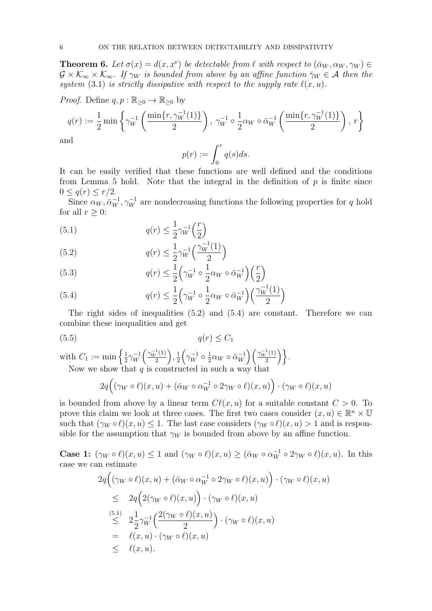**Theorem 6.** Let  $\sigma(x) = d(x, x^e)$  be detectable from  $\ell$  with respect to  $(\bar{\alpha}_W, \alpha_W, \gamma_W) \in$  $\mathcal{G} \times \mathcal{K}_{\infty} \times \mathcal{K}_{\infty}$ . If  $\gamma_W$  is bounded from above by an affine function  $\bar{\gamma}_W \in \mathcal{A}$  then the system (3.1) is strictly dissipative with respect to the supply rate  $\ell(x, u)$ .

*Proof.* Define  $q, p : \mathbb{R}_{\geq 0} \to \mathbb{R}_{\geq 0}$  by

$$
q(r) := \frac{1}{2} \min \left\{ \gamma_W^{-1} \left( \frac{\min\{r, \gamma_W^{-1}(1)\}}{2} \right), \, \gamma_W^{-1} \circ \frac{1}{2} \alpha_W \circ \bar{\alpha}_W^{-1} \left( \frac{\min\{r, \gamma_W^{-1}(1)\}}{2} \right), \, r \right\}
$$

and

$$
p(r) := \int_0^r q(s)ds.
$$

It can be easily verified that these functions are well defined and the conditions from Lemma 5 hold. Note that the integral in the definition of  $p$  is finite since  $0 \leq q(r) \leq r/2$ .

Since  $\alpha_W, \bar{\alpha}_W^{-1}, \gamma_W^{-1}$  are nondecreasing functions the following properties for q hold for all  $r \geq 0$ :

(5.1) 
$$
q(r) \leq \frac{1}{2} \gamma_W^{-1} \left(\frac{r}{2}\right)
$$

(5.2) 
$$
q(r) \le \frac{1}{2} \gamma_W^{-1} \left( \frac{\gamma_W^{-1}(1)}{2} \right)
$$

(5.3) 
$$
q(r) \leq \frac{1}{2} \left( \gamma_W^{-1} \circ \frac{1}{2} \alpha_W \circ \bar{\alpha}_W^{-1} \right) \left( \frac{r}{2} \right)
$$

(5.4) 
$$
q(r) \leq \frac{1}{2} \left( \gamma_W^{-1} \circ \frac{1}{2} \alpha_W \circ \bar{\alpha}_W^{-1} \right) \left( \frac{\gamma_W^{-1}(1)}{2} \right)
$$

The right sides of inequalities (5.2) and (5.4) are constant. Therefore we can combine these inequalities and get

$$
(5.5) \t\t q(r) \le C_1
$$

with  $C_1 := \min\left\{\frac{1}{2}\right\}$  $\frac{1}{2}\gamma_W^{-1}$  $\sqrt{W} \left( \frac{\gamma_W^{-1}(1)}{2} \right)$  $\frac{1}{2}$   $\left( \frac{1}{2} \right)$ ,  $\frac{1}{2}$  $\frac{1}{2} \Big(\gamma_W^{-1}\circ\frac{1}{2}$  $\frac{1}{2}\alpha_W \circ \bar{\alpha}_W^{-1}$  $\begin{pmatrix} -1 \\ W \end{pmatrix} \left( \frac{\gamma_W^{-1}(1)}{2} \right)$ 2 o. Now we show that  $q$  is constructed in such a way that

$$
2q((\gamma_W \circ \ell)(x, u) + (\bar{\alpha}_W \circ \alpha_W^{-1} \circ 2\gamma_W \circ \ell)(x, u)) \cdot (\gamma_W \circ \ell)(x, u)
$$

is bounded from above by a linear term  $C(\ell(x, u))$  for a suitable constant  $C > 0$ . To prove this claim we look at three cases. The first two cases consider  $(x, u) \in \mathbb{R}^n \times \mathbb{U}$ such that  $(\gamma_W \circ \ell)(x, u) \leq 1$ . The last case considers  $(\gamma_W \circ \ell)(x, u) > 1$  and is responsible for the assumption that  $\gamma_W$  is bounded from above by an affine function.

**Case 1:**  $(\gamma_W \circ \ell)(x, u) \leq 1$  and  $(\gamma_W \circ \ell)(x, u) \geq (\bar{\alpha}_W \circ \alpha_W^{-1} \circ 2\gamma_W \circ \ell)(x, u)$ . In this case we can estimate

$$
2q((\gamma_W \circ \ell)(x, u) + (\bar{\alpha}_W \circ \alpha_W^{-1} \circ 2\gamma_W \circ \ell)(x, u)) \cdot (\gamma_W \circ \ell)(x, u)
$$
  
\n
$$
\leq 2q(2(\gamma_W \circ \ell)(x, u)) \cdot (\gamma_W \circ \ell)(x, u)
$$
  
\n
$$
\leq 2\frac{1}{2}\gamma_W^{-1}\left(\frac{2(\gamma_W \circ \ell)(x, u)}{2}\right) \cdot (\gamma_W \circ \ell)(x, u)
$$
  
\n
$$
= \ell(x, u) \cdot (\gamma_W \circ \ell)(x, u)
$$
  
\n
$$
\leq \ell(x, u).
$$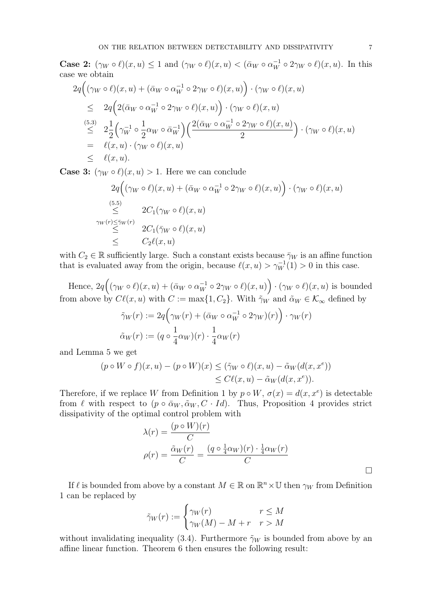**Case 2:**  $(\gamma_W \circ \ell)(x, u) \leq 1$  and  $(\gamma_W \circ \ell)(x, u) < (\bar{\alpha}_W \circ \alpha_W^{-1} \circ 2\gamma_W \circ \ell)(x, u)$ . In this case we obtain

$$
2q((\gamma_W \circ \ell)(x, u) + (\bar{\alpha}_W \circ \alpha_W^{-1} \circ 2\gamma_W \circ \ell)(x, u)) \cdot (\gamma_W \circ \ell)(x, u)
$$
  
\n
$$
\leq 2q(2(\bar{\alpha}_W \circ \alpha_W^{-1} \circ 2\gamma_W \circ \ell)(x, u)) \cdot (\gamma_W \circ \ell)(x, u)
$$
  
\n
$$
\leq 2\frac{1}{2}(\gamma_W^{-1} \circ \frac{1}{2}\alpha_W \circ \bar{\alpha}_W^{-1})\left(\frac{2(\bar{\alpha}_W \circ \alpha_W^{-1} \circ 2\gamma_W \circ \ell)(x, u)}{2}\right) \cdot (\gamma_W \circ \ell)(x, u)
$$
  
\n
$$
= \ell(x, u) \cdot (\gamma_W \circ \ell)(x, u)
$$
  
\n
$$
\leq \ell(x, u).
$$

**Case 3:**  $(\gamma_W \circ \ell)(x, u) > 1$ . Here we can conclude

$$
2q((\gamma_W \circ \ell)(x, u) + (\bar{\alpha}_W \circ \alpha_W^{-1} \circ 2\gamma_W \circ \ell)(x, u)) \cdot (\gamma_W \circ \ell)(x, u)
$$
  
\n
$$
\leq 2C_1(\gamma_W \circ \ell)(x, u)
$$
  
\n
$$
\leq 2C_1(\bar{\gamma}_W \circ \ell)(x, u)
$$
  
\n
$$
\leq C_2\ell(x, u)
$$

with  $C_2 \in \mathbb{R}$  sufficiently large. Such a constant exists because  $\bar{\gamma}_W$  is an affine function that is evaluated away from the origin, because  $\ell(x, u) > \gamma_W^{-1}(1) > 0$  in this case.

Hence,  $2q((\gamma_W\circ \ell)(x,u)+(\bar{\alpha}_W\circ \alpha_W^{-1}\circ 2\gamma_W\circ \ell)(x,u))\cdot (\gamma_W\circ \ell)(x,u)$  is bounded from above by  $C\ell(x, u)$  with  $C := \max\{1, C_2\}$ . With  $\tilde{\gamma}_W$  and  $\tilde{\alpha}_W \in \mathcal{K}_{\infty}$  defined by

$$
\tilde{\gamma}_W(r) := 2q\left(\gamma_W(r) + (\bar{\alpha}_W \circ \alpha_W^{-1} \circ 2\gamma_W)(r)\right) \cdot \gamma_W(r)
$$
  

$$
\tilde{\alpha}_W(r) := (q \circ \frac{1}{4}\alpha_W)(r) \cdot \frac{1}{4}\alpha_W(r)
$$

and Lemma 5 we get

$$
(p \circ W \circ f)(x, u) - (p \circ W)(x) \le (\tilde{\gamma}_W \circ \ell)(x, u) - \tilde{\alpha}_W(d(x, x^e))
$$
  

$$
\le C\ell(x, u) - \tilde{\alpha}_W(d(x, x^e)).
$$

Therefore, if we replace W from Definition 1 by  $p \circ W$ ,  $\sigma(x) = d(x, x^e)$  is detectable from  $\ell$  with respect to  $(p \circ \bar{\alpha}_W, \tilde{\alpha}_W, C \cdot Id)$ . Thus, Proposition 4 provides strict dissipativity of the optimal control problem with

$$
\lambda(r) = \frac{(p \circ W)(r)}{C}
$$

$$
\rho(r) = \frac{\tilde{\alpha}_W(r)}{C} = \frac{(q \circ \frac{1}{4}\alpha_W)(r) \cdot \frac{1}{4}\alpha_W(r)}{C}
$$

If  $\ell$  is bounded from above by a constant  $M \in \mathbb{R}$  on  $\mathbb{R}^n \times \mathbb{U}$  then  $\gamma_W$  from Definition 1 can be replaced by

$$
\tilde{\gamma}_W(r) := \begin{cases} \gamma_W(r) & r \le M \\ \gamma_W(M) - M + r & r > M \end{cases}
$$

without invalidating inequality (3.4). Furthermore  $\tilde{\gamma}_W$  is bounded from above by an affine linear function. Theorem 6 then ensures the following result: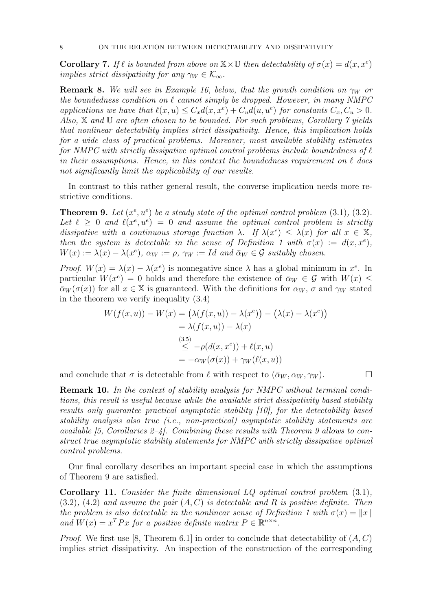**Corollary 7.** If  $\ell$  is bounded from above on  $\mathbb{X} \times \mathbb{U}$  then detectability of  $\sigma(x) = d(x, x^e)$ implies strict dissipativity for any  $\gamma_W \in \mathcal{K}_{\infty}$ .

**Remark 8.** We will see in Example 16, below, that the growth condition on  $\gamma_W$  or the boundedness condition on  $\ell$  cannot simply be dropped. However, in many NMPC applications we have that  $\ell(x, u) \leq C_x d(x, x^e) + C_u d(u, u^e)$  for constants  $C_x, C_u > 0$ . Also,  $X$  and  $U$  are often chosen to be bounded. For such problems, Corollary  $\gamma$  yields that nonlinear detectability implies strict dissipativity. Hence, this implication holds for a wide class of practical problems. Moreover, most available stability estimates for NMPC with strictly dissipative optimal control problems include boundedness of  $\ell$ in their assumptions. Hence, in this context the boundedness requirement on  $\ell$  does not significantly limit the applicability of our results.

In contrast to this rather general result, the converse implication needs more restrictive conditions.

**Theorem 9.** Let  $(x^e, u^e)$  be a steady state of the optimal control problem  $(3.1)$ ,  $(3.2)$ . Let  $\ell \geq 0$  and  $\ell(x^e, u^e) = 0$  and assume the optimal control problem is strictly dissipative with a continuous storage function  $\lambda$ . If  $\lambda(x^e) \leq \lambda(x)$  for all  $x \in \mathbb{X}$ , then the system is detectable in the sense of Definition 1 with  $\sigma(x) := d(x, x^e)$ ,  $W(x) := \lambda(x) - \lambda(x^e)$ ,  $\alpha_W := \rho$ ,  $\gamma_W := Id$  and  $\bar{\alpha}_W \in \mathcal{G}$  suitably chosen.

Proof.  $W(x) = \lambda(x) - \lambda(x^e)$  is nonnegative since  $\lambda$  has a global minimum in  $x^e$ . In particular  $W(x^e) = 0$  holds and therefore the existence of  $\bar{\alpha}_W \in \mathcal{G}$  with  $W(x) \leq$  $\bar{\alpha}_W(\sigma(x))$  for all  $x \in \mathbb{X}$  is guaranteed. With the definitions for  $\alpha_W$ ,  $\sigma$  and  $\gamma_W$  stated in the theorem we verify inequality (3.4)

$$
W(f(x, u)) - W(x) = (\lambda(f(x, u)) - \lambda(x^e)) - (\lambda(x) - \lambda(x^e))
$$
  
=  $\lambda(f(x, u)) - \lambda(x)$   

$$
\leq -\rho(d(x, x^e)) + \ell(x, u)
$$
  
=  $-\alpha_W(\sigma(x)) + \gamma_W(\ell(x, u))$ 

and conclude that  $\sigma$  is detectable from  $\ell$  with respect to  $(\bar{\alpha}_W, \alpha_W, \gamma_W)$ .

Remark 10. In the context of stability analysis for NMPC without terminal conditions, this result is useful because while the available strict dissipativity based stability results only guarantee practical asymptotic stability [10], for the detectability based stability analysis also true (i.e., non-practical) asymptotic stability statements are available  $[5, Corollaries 2-4]$ . Combining these results with Theorem 9 allows to construct true asymptotic stability statements for NMPC with strictly dissipative optimal control problems.

Our final corollary describes an important special case in which the assumptions of Theorem 9 are satisfied.

Corollary 11. Consider the finite dimensional LQ optimal control problem (3.1),  $(3.2)$ ,  $(4.2)$  and assume the pair  $(A, C)$  is detectable and R is positive definite. Then the problem is also detectable in the nonlinear sense of Definition 1 with  $\sigma(x) = ||x||$ and  $W(x) = x^T P x$  for a positive definite matrix  $P \in \mathbb{R}^{n \times n}$ .

*Proof.* We first use [8, Theorem 6.1] in order to conclude that detectability of  $(A, C)$ implies strict dissipativity. An inspection of the construction of the corresponding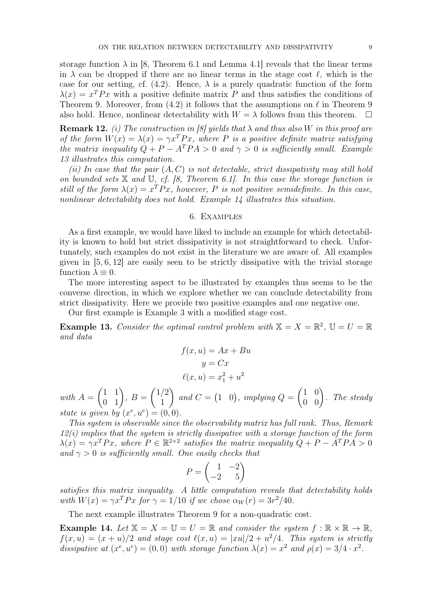storage function  $\lambda$  in [8, Theorem 6.1 and Lemma 4.1] reveals that the linear terms in  $\lambda$  can be dropped if there are no linear terms in the stage cost  $\ell$ , which is the case for our setting, cf. (4.2). Hence,  $\lambda$  is a purely quadratic function of the form  $\lambda(x) = x^T P x$  with a positive definite matrix P and thus satisfies the conditions of Theorem 9. Moreover, from (4.2) it follows that the assumptions on  $\ell$  in Theorem 9 also hold. Hence, nonlinear detectability with  $W = \lambda$  follows from this theorem.  $\square$ 

**Remark 12.** (i) The construction in [8] yields that  $\lambda$  and thus also W in this proof are of the form  $W(x) = \lambda(x) = \gamma x^T P x$ , where P is a positive definite matrix satisfying the matrix inequality  $Q + P - A^T P A > 0$  and  $\gamma > 0$  is sufficiently small. Example 13 illustrates this computation.

(ii) In case that the pair  $(A, C)$  is not detectable, strict dissipativity may still hold on bounded sets  $X$  and  $U$ , cf. [8, Theorem 6.1]. In this case the storage function is still of the form  $\lambda(x) = x^T P x$ , however, P is not positive semidefinite. In this case, nonlinear detectability does not hold. Example 14 illustrates this situation.

# 6. Examples

As a first example, we would have liked to include an example for which detectability is known to hold but strict dissipativity is not straightforward to check. Unfortunately, such examples do not exist in the literature we are aware of. All examples given in [5, 6, 12] are easily seen to be strictly dissipative with the trivial storage function  $\lambda \equiv 0$ .

The more interesting aspect to be illustrated by examples thus seems to be the converse direction, in which we explore whether we can conclude detectability from strict dissipativity. Here we provide two positive examples and one negative one.

Our first example is Example 3 with a modified stage cost.

**Example 13.** Consider the optimal control problem with  $X = X = \mathbb{R}^2$ ,  $\mathbb{U} = U = \mathbb{R}$ and data

$$
f(x, u) = Ax + Bu
$$

$$
y = Cx
$$

$$
\ell(x, u) = x_1^2 + u^2
$$

with  $A =$  $\begin{pmatrix} 1 & 1 \\ 0 & 1 \end{pmatrix}$ ,  $B =$  $(1/2)$ 1  $\setminus$ and  $C = \begin{pmatrix} 1 & 0 \end{pmatrix}$ , implying  $Q =$  $\begin{pmatrix} 1 & 0 \\ 0 & 0 \end{pmatrix}$ . The steady state is given by  $(x^e, u^e) = (0, 0)$ .

This system is observable since the observability matrix has full rank. Thus, Remark  $12(i)$  implies that the system is strictly dissipative with a storage function of the form  $\lambda(x) = \gamma x^T P x$ , where  $P \in \mathbb{R}^{2 \times 2}$  satisfies the matrix inequality  $Q + P - A^T P A > 0$ and  $\gamma > 0$  is sufficiently small. One easily checks that

$$
P = \begin{pmatrix} 1 & -2 \\ -2 & 5 \end{pmatrix}
$$

satisfies this matrix inequality. A little computation reveals that detectability holds with  $W(x) = \gamma x^T P x$  for  $\gamma = 1/10$  if we chose  $\alpha_W(r) = 3r^2/40$ .

The next example illustrates Theorem 9 for a non-quadratic cost.

**Example 14.** Let  $X = X = U = U = \mathbb{R}$  and consider the system  $f : \mathbb{R} \times \mathbb{R} \to \mathbb{R}$ .  $f(x, u) = (x + u)/2$  and stage cost  $\ell(x, u) = |xu|/2 + u^2/4$ . This system is strictly dissipative at  $(x^e, u^e) = (0, 0)$  with storage function  $\lambda(x) = x^2$  and  $\rho(x) = 3/4 \cdot x^2$ .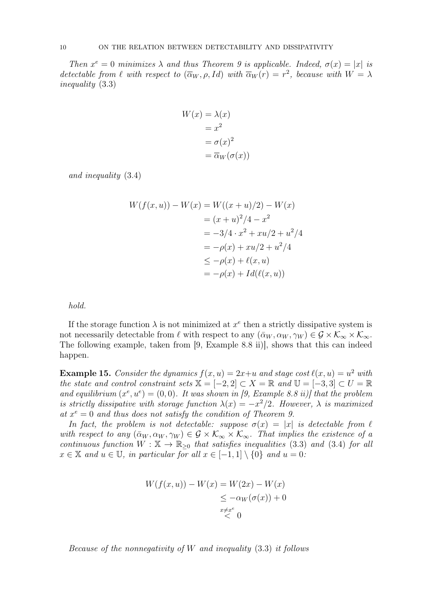Then  $x^e = 0$  minimizes  $\lambda$  and thus Theorem 9 is applicable. Indeed,  $\sigma(x) = |x|$  is detectable from  $\ell$  with respect to  $(\overline{\alpha}_W, \rho, Id)$  with  $\overline{\alpha}_W(r) = r^2$ , because with  $W = \lambda$ inequality (3.3)

$$
W(x) = \lambda(x)
$$
  
=  $x^2$   
=  $\sigma(x)^2$   
=  $\overline{\alpha}_W(\sigma(x))$ 

and inequality (3.4)

$$
W(f(x, u)) - W(x) = W((x + u)/2) - W(x)
$$
  
=  $(x + u)^2/4 - x^2$   
=  $-3/4 \cdot x^2 + xu/2 + u^2/4$   
=  $-\rho(x) + xu/2 + u^2/4$   
 $\leq -\rho(x) + \ell(x, u)$   
=  $-\rho(x) + Id(\ell(x, u))$ 

hold.

If the storage function  $\lambda$  is not minimized at  $x^e$  then a strictly dissipative system is not necessarily detectable from  $\ell$  with respect to any  $(\bar{\alpha}_W, \alpha_W, \gamma_W) \in \mathcal{G} \times \mathcal{K}_{\infty} \times \mathcal{K}_{\infty}$ . The following example, taken from [9, Example 8.8 ii)], shows that this can indeed happen.

**Example 15.** Consider the dynamics  $f(x, u) = 2x+u$  and stage cost  $\ell(x, u) = u^2$  with the state and control constraint sets  $\mathbb{X} = [-2, 2] \subset X = \mathbb{R}$  and  $\mathbb{U} = [-3, 3] \subset U = \mathbb{R}$ and equilibrium  $(x^e, u^e) = (0, 0)$ . It was shown in [9, Example 8.8 ii)] that the problem is strictly dissipative with storage function  $\lambda(x) = -x^2/2$ . However,  $\lambda$  is maximized at  $x^e = 0$  and thus does not satisfy the condition of Theorem 9.

In fact, the problem is not detectable: suppose  $\sigma(x) = |x|$  is detectable from  $\ell$ with respect to any  $(\bar{\alpha}_W, \alpha_W, \gamma_W) \in \mathcal{G} \times \mathcal{K}_{\infty} \times \mathcal{K}_{\infty}$ . That implies the existence of a continuous function  $W : \mathbb{X} \to \mathbb{R}_{\geq 0}$  that satisfies inequalities (3.3) and (3.4) for all  $x \in \mathbb{X}$  and  $u \in \mathbb{U}$ , in particular for all  $x \in [-1,1] \setminus \{0\}$  and  $u = 0$ :

$$
W(f(x, u)) - W(x) = W(2x) - W(x)
$$
  
\n
$$
\leq -\alpha_W(\sigma(x)) + 0
$$
  
\n
$$
\leq \alpha_W(\sigma(x)) + 0
$$
  
\n
$$
\leq 0
$$

Because of the nonnegativity of W and inequality  $(3.3)$  it follows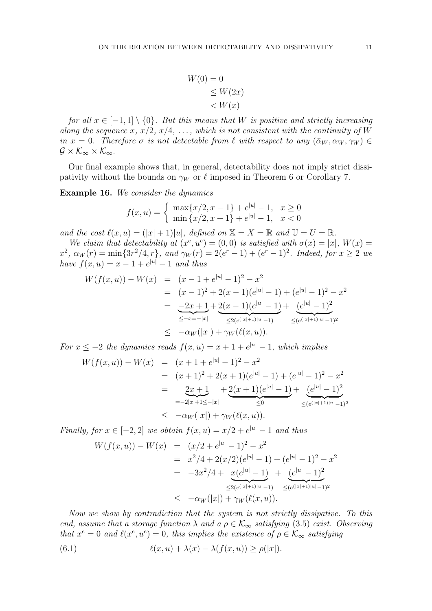$$
W(0) = 0
$$
  
\n
$$
\leq W(2x)
$$
  
\n
$$
< W(x)
$$

for all  $x \in [-1,1] \setminus \{0\}$ . But this means that W is positive and strictly increasing along the sequence x,  $x/2$ ,  $x/4$ , ..., which is not consistent with the continuity of W in  $x = 0$ . Therefore  $\sigma$  is not detectable from  $\ell$  with respect to any  $(\bar{\alpha}_W, \alpha_W, \gamma_W) \in$  $\mathcal{G} \times \mathcal{K}_{\infty} \times \mathcal{K}_{\infty}$ .

Our final example shows that, in general, detectability does not imply strict dissipativity without the bounds on  $\gamma_W$  or  $\ell$  imposed in Theorem 6 or Corollary 7.

Example 16. We consider the dynamics

$$
f(x, u) = \begin{cases} \max\{x/2, x - 1\} + e^{|u|} - 1, & x \ge 0\\ \min\{x/2, x + 1\} + e^{|u|} - 1, & x < 0 \end{cases}
$$

and the cost  $\ell(x, u) = (|x| + 1)|u|$ , defined on  $X = X = \mathbb{R}$  and  $\mathbb{U} = U = \mathbb{R}$ .

We claim that detectability at  $(x^e, u^e) = (0,0)$  is satisfied with  $\sigma(x) = |x|$ ,  $W(x) =$  $x^2$ ,  $\alpha_W(r) = \min\{3r^2/4, r\}$ , and  $\gamma_W(r) = 2(e^r - 1) + (e^r - 1)^2$ . Indeed, for  $x \ge 2$  we have  $f(x, u) = x - 1 + e^{|u|} - 1$  and thus

$$
W(f(x, u)) - W(x) = (x - 1 + e^{|u|} - 1)^2 - x^2
$$
  
=  $(x - 1)^2 + 2(x - 1)(e^{|u|} - 1) + (e^{|u|} - 1)^2 - x^2$   
=  $\frac{-2x + 1}{\leq -x - |x|} + \frac{2(x - 1)(e^{|u|} - 1)}{\leq 2(e^{(|x|+1)|u|} - 1)} + \frac{(e^{|u|} - 1)^2}{\leq (e^{(|x|+1)|u|} - 1)^2}$   
 $\leq -\alpha_W(|x|) + \gamma_W(\ell(x, u)).$ 

For  $x \leq -2$  the dynamics reads  $f(x, u) = x + 1 + e^{|u|} - 1$ , which implies

$$
W(f(x, u)) - W(x) = (x + 1 + e^{|u|} - 1)^2 - x^2
$$
  
=  $(x + 1)^2 + 2(x + 1)(e^{|u|} - 1) + (e^{|u|} - 1)^2 - x^2$   
=  $\underbrace{2x + 1}_{=-2|x|+1 \le -|x|} + \underbrace{2(x + 1)(e^{|u|} - 1)}_{\le 0} + \underbrace{(e^{|u|} - 1)^2}_{\le (e^{(|x|+1)|u|} - 1)^2}$   
 $\le -\alpha_W(|x|) + \gamma_W(\ell(x, u)).$ 

Finally, for  $x \in [-2,2]$  we obtain  $f(x, u) = x/2 + e^{|u|} - 1$  and thus

$$
W(f(x, u)) - W(x) = (x/2 + e^{|u|} - 1)^2 - x^2
$$
  
=  $x^2/4 + 2(x/2)(e^{|u|} - 1) + (e^{|u|} - 1)^2 - x^2$   
=  $-3x^2/4 + x(e^{|u|} - 1) + (e^{|u|} - 1)^2$   
 $\leq 2(e^{(|x|+1)|u|} - 1) \leq (e^{(|x|+1)|u|} - 1)^2$   
 $\leq -\alpha_W(|x|) + \gamma_W(\ell(x, u)).$ 

Now we show by contradiction that the system is not strictly dissipative. To this end, assume that a storage function  $\lambda$  and  $a \rho \in \mathcal{K}_{\infty}$  satisfying (3.5) exist. Observing that  $x^e = 0$  and  $\ell(x^e, u^e) = 0$ , this implies the existence of  $\rho \in \mathcal{K}_{\infty}$  satisfying

(6.1) 
$$
\ell(x, u) + \lambda(x) - \lambda(f(x, u)) \ge \rho(|x|).
$$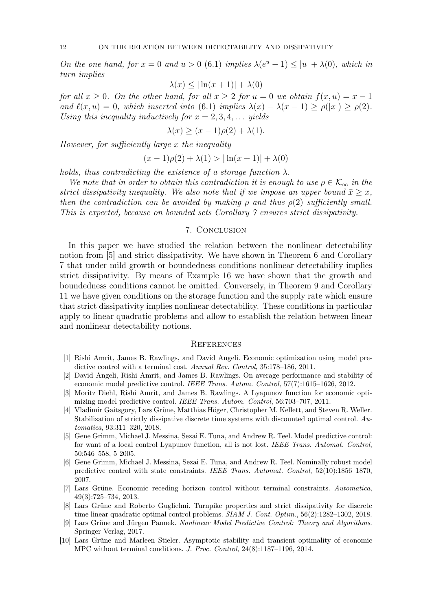On the one hand, for  $x = 0$  and  $u > 0$  (6.1) implies  $\lambda(e^u - 1) \le |u| + \lambda(0)$ , which in turn implies

$$
\lambda(x) \le |\ln(x+1)| + \lambda(0)
$$

for all  $x \geq 0$ . On the other hand, for all  $x \geq 2$  for  $u = 0$  we obtain  $f(x, u) = x - 1$ and  $\ell(x, u) = 0$ , which inserted into (6.1) implies  $\lambda(x) - \lambda(x - 1) \ge \rho(|x|) \ge \rho(2)$ . Using this inequality inductively for  $x = 2, 3, 4, \ldots$  yields

$$
\lambda(x) \ge (x - 1)\rho(2) + \lambda(1).
$$

However, for sufficiently large x the inequality

$$
(x-1)\rho(2) + \lambda(1) > |\ln(x+1)| + \lambda(0)
$$

holds, thus contradicting the existence of a storage function  $\lambda$ .

We note that in order to obtain this contradiction it is enough to use  $\rho \in \mathcal{K}_{\infty}$  in the strict dissipativity inequality. We also note that if we impose an upper bound  $\bar{x} \geq x$ , then the contradiction can be avoided by making  $\rho$  and thus  $\rho(2)$  sufficiently small. This is expected, because on bounded sets Corollary 7 ensures strict dissipativity.

# 7. Conclusion

In this paper we have studied the relation between the nonlinear detectability notion from [5] and strict dissipativity. We have shown in Theorem 6 and Corollary 7 that under mild growth or boundedness conditions nonlinear detectability implies strict dissipativity. By means of Example 16 we have shown that the growth and boundedness conditions cannot be omitted. Conversely, in Theorem 9 and Corollary 11 we have given conditions on the storage function and the supply rate which ensure that strict dissipativity implies nonlinear detectability. These conditions in particular apply to linear quadratic problems and allow to establish the relation between linear and nonlinear detectability notions.

#### **REFERENCES**

- [1] Rishi Amrit, James B. Rawlings, and David Angeli. Economic optimization using model predictive control with a terminal cost. Annual Rev. Control, 35:178–186, 2011.
- [2] David Angeli, Rishi Amrit, and James B. Rawlings. On average performance and stability of economic model predictive control. IEEE Trans. Autom. Control, 57(7):1615–1626, 2012.
- [3] Moritz Diehl, Rishi Amrit, and James B. Rawlings. A Lyapunov function for economic optimizing model predictive control. IEEE Trans. Autom. Control, 56:703–707, 2011.
- [4] Vladimir Gaitsgory, Lars Grüne, Matthias Höger, Christopher M. Kellett, and Steven R. Weller. Stabilization of strictly dissipative discrete time systems with discounted optimal control. Automatica, 93:311–320, 2018.
- [5] Gene Grimm, Michael J. Messina, Sezai E. Tuna, and Andrew R. Teel. Model predictive control: for want of a local control Lyapunov function, all is not lost. IEEE Trans. Automat. Control, 50:546–558, 5 2005.
- [6] Gene Grimm, Michael J. Messina, Sezai E. Tuna, and Andrew R. Teel. Nominally robust model predictive control with state constraints. IEEE Trans. Automat. Control, 52(10):1856–1870, 2007.
- [7] Lars Grüne. Economic receding horizon control without terminal constraints. Automatica, 49(3):725–734, 2013.
- [8] Lars Grüne and Roberto Guglielmi. Turnpike properties and strict dissipativity for discrete time linear quadratic optimal control problems. SIAM J. Cont. Optim., 56(2):1282–1302, 2018.
- [9] Lars Grüne and Jürgen Pannek. Nonlinear Model Predictive Control: Theory and Algorithms. Springer Verlag, 2017.
- [10] Lars Grüne and Marleen Stieler. Asymptotic stability and transient optimality of economic MPC without terminal conditions. J. Proc. Control, 24(8):1187–1196, 2014.